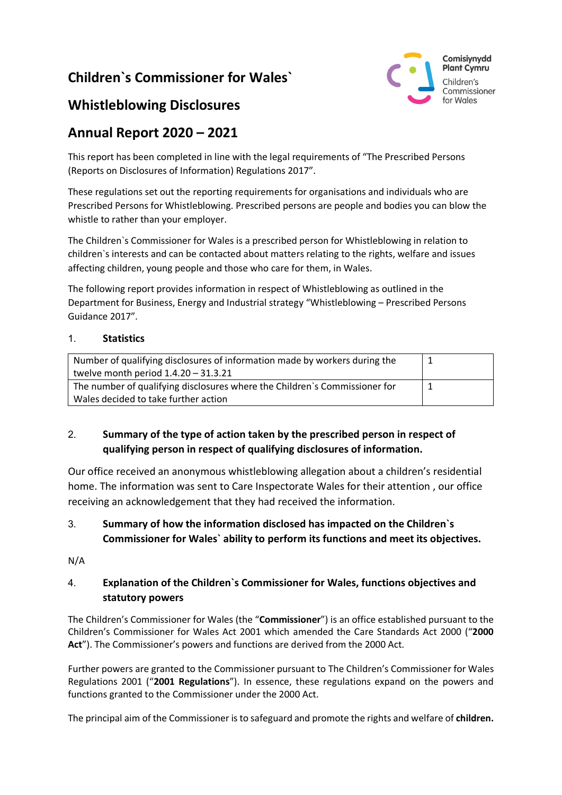# **Children`s Commissioner for Wales`**



## **Whistleblowing Disclosures**

# **Annual Report 2020 – 2021**

This report has been completed in line with the legal requirements of "The Prescribed Persons (Reports on Disclosures of Information) Regulations 2017".

These regulations set out the reporting requirements for organisations and individuals who are Prescribed Persons for Whistleblowing. Prescribed persons are people and bodies you can blow the whistle to rather than your employer.

The Children`s Commissioner for Wales is a prescribed person for Whistleblowing in relation to children`s interests and can be contacted about matters relating to the rights, welfare and issues affecting children, young people and those who care for them, in Wales.

The following report provides information in respect of Whistleblowing as outlined in the Department for Business, Energy and Industrial strategy "Whistleblowing – Prescribed Persons Guidance 2017".

#### 1. **Statistics**

| Number of qualifying disclosures of information made by workers during the<br>twelve month period $1.4.20 - 31.3.21$ |  |
|----------------------------------------------------------------------------------------------------------------------|--|
| The number of qualifying disclosures where the Children's Commissioner for<br>Wales decided to take further action   |  |

### 2. **Summary of the type of action taken by the prescribed person in respect of qualifying person in respect of qualifying disclosures of information.**

Our office received an anonymous whistleblowing allegation about a children's residential home. The information was sent to Care Inspectorate Wales for their attention , our office receiving an acknowledgement that they had received the information.

### 3. **Summary of how the information disclosed has impacted on the Children`s Commissioner for Wales` ability to perform its functions and meet its objectives.**

N/A

### 4. **Explanation of the Children`s Commissioner for Wales, functions objectives and statutory powers**

The Children's Commissioner for Wales (the "**Commissioner**") is an office established pursuant to the Children's Commissioner for Wales Act 2001 which amended the Care Standards Act 2000 ("**2000 Act**"). The Commissioner's powers and functions are derived from the 2000 Act.

Further powers are granted to the Commissioner pursuant to The Children's Commissioner for Wales Regulations 2001 ("**2001 Regulations**"). In essence, these regulations expand on the powers and functions granted to the Commissioner under the 2000 Act.

The principal aim of the Commissioner is to safeguard and promote the rights and welfare of **children.**